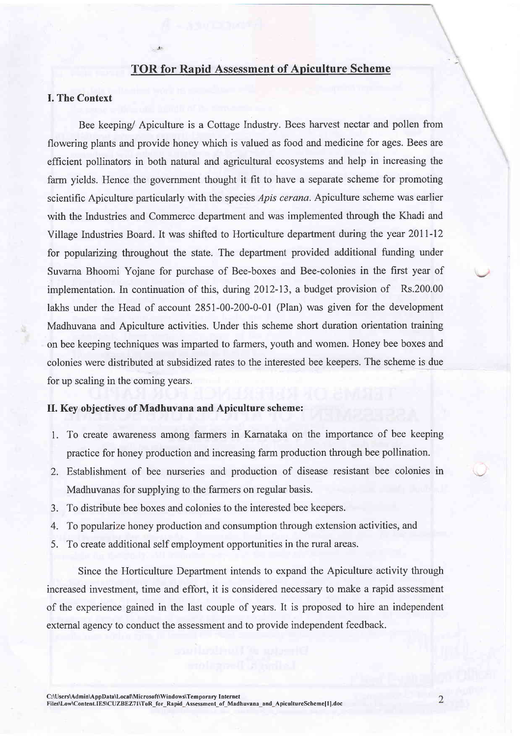# TOR for Rapid Assessment of Apiculture Scheme

### I. The Context

Bee keeping/ Apiculture is a Cottage Industry. Bees harvest nectar and pollen from flowering plants and provide honey which is valued as food and medicine for ages. Bees are efficient pollinators in both natural and agricultural ecosystems and help in increasing the farm yields. Hence the govemment thought it fit to have a separate scheme for promoting scientific Apiculture particularly with the species *Apis cerana*. Apiculture scheme was earlier with the Industries and Commerce department and was implemented through the Khadi and Village Industries Board. It was shifted to Horticulture department during the year 20II-I2 for popularizing throughout the state. The department provided additional funding under Suvarna Bhoomi Yojane for purchase of Bee-boxes and Bee-colonies in the first year of implementation. In continuation of this, during 2012-13, a budget provision of Rs.200.00 lakhs under the Head of account 2851-00-200-0-01 (Plan) was given for the development Madhuvana and Apiculture activities. Under this scheme short duration orientation training on bee keeping techniques was imparted to farmers, youth and women. Honey bee boxes and colonies were distributed at subsidized rates to the interested bee keepers. The scheme is due for up scaling in the coming years.

## II. Key objectives of Madhuvana and Apiculture scheme:

- 1. To create awareness among farmers in Karnataka on the importance of bee keeping practice for honey production and increasing farm production through bee pollination.
- Establishment of bee nurseries and production of disease resistant bee colonies in ) Madhuvanas for supplying to the farmers on regular basis.
- 3. To distribute bee boxes and colonies to the interested bee keepers.
- To popularize honey production and consumption through extension activities, and 4.
- 5. To create additional self employment opportunities in the rural areas.

Since the Horticulture Department intends to expand the Apiculture activity through increased investment, time and effort, it is considered necessary to make a rapid assessment of the experience gained in the last couple of years. It is proposed to hire an independent extemal agency to conduct the assessment and to provide independent feedback.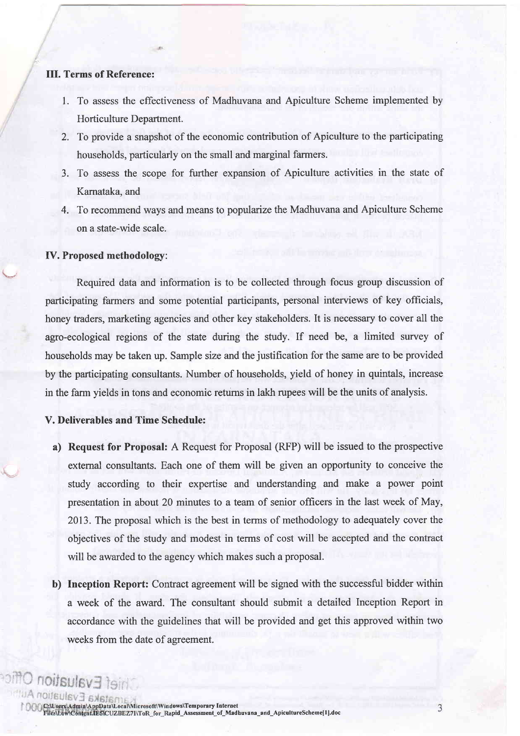## III. Terms of Reference:

- 1. To assess the effectiveness of Madhuvana and Apiculture Scheme implemented by Horticulture Department.
- To provide a snapshot of the economic contribution of Apiculture to the participating 2. households, particularly on the small and marginal farmers.
- 3. To assess the scope for further expansion of Apiculture activities in the state of Kamataka, and
- 4. To recommend ways and means to popularize the Madhuvana and Apiculture Scheme on a state-wide scale.

#### IV. Proposed methodologr:

Required data and information is to be collected through focus group discussion of participating farmers and some potential participants, personal interviews of key officials, honey traders, marketing agencies and other key stakeholders. It is necessary to cover all the agro-ecological regions of the state during the study. If need be, a limited survey of households may be taken up. Sample size and the justification for the same are to be provided by the participating consultants. Number of households, yield of honey in quintals, increase in the farm yields in tons and economic retums in lakh rupees will be the units of analysis.

# V. Deliverables and Time Schedule:

valuation

- a) Request for Proposal: A Request for Proposal (RFP) will be issued to the prospective extemal consultants. Each one of them will be given an opportunity to conceive the study according to their expertise and understanding and make a power point presentation in about 20 minutes to a team of senior officers in the last week of May, 2013. The proposal which is the best in terms of methodology to adequately cover the objectives of the study and modest in terms of cost will be accepted and the contract will be awarded to the agency which makes such a proposal.
- b) Inception Report: Contract agreement will be signed with the successful bidder within a week of the award. The consultant should submit a detailed Inception Report in accordance with the guidelines that will be provided and get this approved within two weeks from the date of agreement.